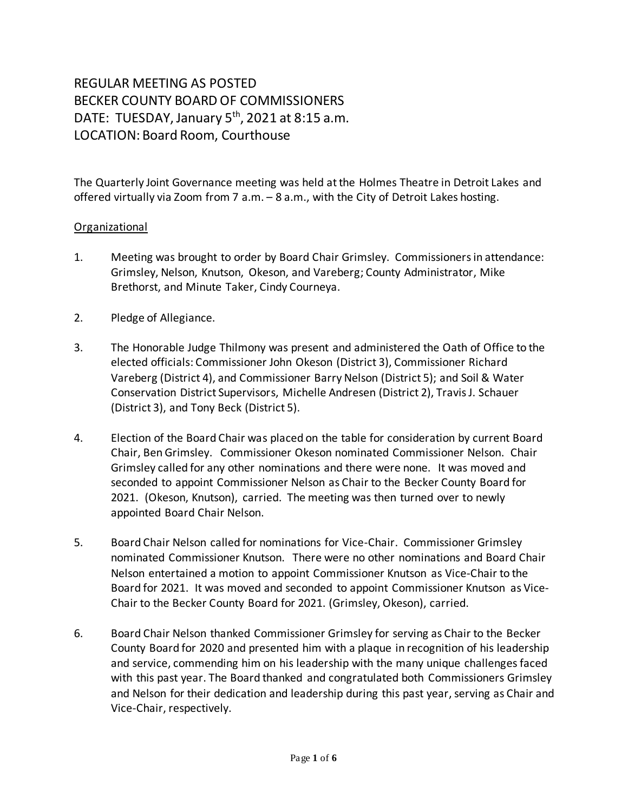# REGULAR MEETING AS POSTED BECKER COUNTY BOARD OF COMMISSIONERS DATE: TUESDAY, January 5<sup>th</sup>, 2021 at 8:15 a.m. LOCATION: Board Room, Courthouse

The Quarterly Joint Governance meeting was held at the Holmes Theatre in Detroit Lakes and offered virtually via Zoom from 7 a.m. – 8 a.m., with the City of Detroit Lakes hosting.

### Organizational

- 1. Meeting was brought to order by Board Chair Grimsley. Commissioners in attendance: Grimsley, Nelson, Knutson, Okeson, and Vareberg; County Administrator, Mike Brethorst, and Minute Taker, Cindy Courneya.
- 2. Pledge of Allegiance.
- 3. The Honorable Judge Thilmony was present and administered the Oath of Office to the elected officials: Commissioner John Okeson (District 3), Commissioner Richard Vareberg (District 4), and Commissioner Barry Nelson (District 5); and Soil & Water Conservation District Supervisors, Michelle Andresen (District 2), Travis J. Schauer (District 3), and Tony Beck (District 5).
- 4. Election of the Board Chair was placed on the table for consideration by current Board Chair, Ben Grimsley. Commissioner Okeson nominated Commissioner Nelson. Chair Grimsley called for any other nominations and there were none. It was moved and seconded to appoint Commissioner Nelson as Chair to the Becker County Board for 2021. (Okeson, Knutson), carried. The meeting was then turned over to newly appointed Board Chair Nelson.
- 5. Board Chair Nelson called for nominations for Vice-Chair. Commissioner Grimsley nominated Commissioner Knutson. There were no other nominations and Board Chair Nelson entertained a motion to appoint Commissioner Knutson as Vice-Chair to the Board for 2021. It was moved and seconded to appoint Commissioner Knutson as Vice-Chair to the Becker County Board for 2021. (Grimsley, Okeson), carried.
- 6. Board Chair Nelson thanked Commissioner Grimsley for serving as Chair to the Becker County Board for 2020 and presented him with a plaque in recognition of his leadership and service, commending him on his leadership with the many unique challenges faced with this past year. The Board thanked and congratulated both Commissioners Grimsley and Nelson for their dedication and leadership during this past year, serving as Chair and Vice-Chair, respectively.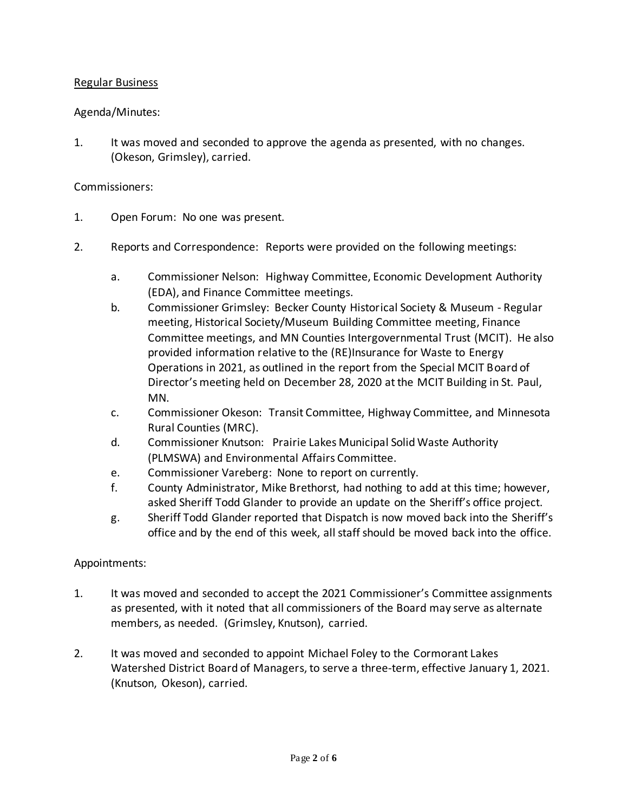## Regular Business

### Agenda/Minutes:

1. It was moved and seconded to approve the agenda as presented, with no changes. (Okeson, Grimsley), carried.

#### Commissioners:

- 1. Open Forum: No one was present.
- 2. Reports and Correspondence: Reports were provided on the following meetings:
	- a. Commissioner Nelson: Highway Committee, Economic Development Authority (EDA), and Finance Committee meetings.
	- b. Commissioner Grimsley: Becker County Historical Society & Museum Regular meeting, Historical Society/Museum Building Committee meeting, Finance Committee meetings, and MN Counties Intergovernmental Trust (MCIT). He also provided information relative to the (RE)Insurance for Waste to Energy Operations in 2021, as outlined in the report from the Special MCIT Board of Director's meeting held on December 28, 2020 at the MCIT Building in St. Paul, MN.
	- c. Commissioner Okeson: Transit Committee, Highway Committee, and Minnesota Rural Counties (MRC).
	- d. Commissioner Knutson: Prairie Lakes Municipal Solid Waste Authority (PLMSWA) and Environmental Affairs Committee.
	- e. Commissioner Vareberg: None to report on currently.
	- f. County Administrator, Mike Brethorst, had nothing to add at this time; however, asked Sheriff Todd Glander to provide an update on the Sheriff's office project.
	- g. Sheriff Todd Glander reported that Dispatch is now moved back into the Sheriff's office and by the end of this week, all staff should be moved back into the office.

#### Appointments:

- 1. It was moved and seconded to accept the 2021 Commissioner's Committee assignments as presented, with it noted that all commissioners of the Board may serve as alternate members, as needed. (Grimsley, Knutson), carried.
- 2. It was moved and seconded to appoint Michael Foley to the Cormorant Lakes Watershed District Board of Managers, to serve a three-term, effective January 1, 2021. (Knutson, Okeson), carried.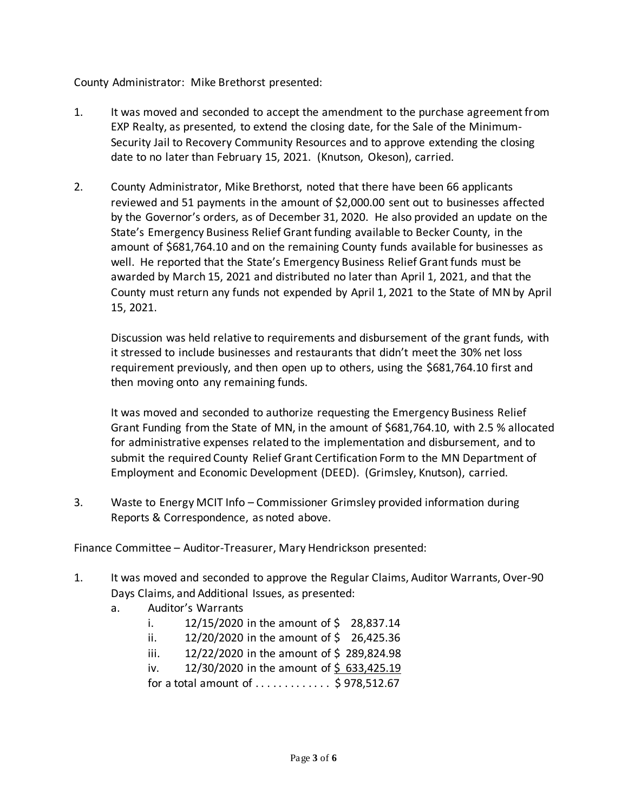County Administrator: Mike Brethorst presented:

- 1. It was moved and seconded to accept the amendment to the purchase agreement from EXP Realty, as presented, to extend the closing date, for the Sale of the Minimum-Security Jail to Recovery Community Resources and to approve extending the closing date to no later than February 15, 2021. (Knutson, Okeson), carried.
- 2. County Administrator, Mike Brethorst, noted that there have been 66 applicants reviewed and 51 payments in the amount of \$2,000.00 sent out to businesses affected by the Governor's orders, as of December 31, 2020. He also provided an update on the State's Emergency Business Relief Grant funding available to Becker County, in the amount of \$681,764.10 and on the remaining County funds available for businesses as well. He reported that the State's Emergency Business Relief Grant funds must be awarded by March 15, 2021 and distributed no later than April 1, 2021, and that the County must return any funds not expended by April 1, 2021 to the State of MN by April 15, 2021.

Discussion was held relative to requirements and disbursement of the grant funds, with it stressed to include businesses and restaurants that didn't meet the 30% net loss requirement previously, and then open up to others, using the \$681,764.10 first and then moving onto any remaining funds.

It was moved and seconded to authorize requesting the Emergency Business Relief Grant Funding from the State of MN, in the amount of \$681,764.10, with 2.5 % allocated for administrative expenses related to the implementation and disbursement, and to submit the required County Relief Grant Certification Form to the MN Department of Employment and Economic Development (DEED). (Grimsley, Knutson), carried.

3. Waste to Energy MCIT Info – Commissioner Grimsley provided information during Reports & Correspondence, as noted above.

Finance Committee – Auditor-Treasurer, Mary Hendrickson presented:

- 1. It was moved and seconded to approve the Regular Claims, Auditor Warrants, Over-90 Days Claims, and Additional Issues, as presented:
	- a. Auditor's Warrants
		- i.  $12/15/2020$  in the amount of \$ 28,837.14
		- ii.  $12/20/2020$  in the amount of \$ 26,425.36
		- iii.  $12/22/2020$  in the amount of \$ 289,824.98
		- iv.  $12/30/2020$  in the amount of \$633,425.19

for a total amount of  $\dots \dots \dots$  \$ 978,512.67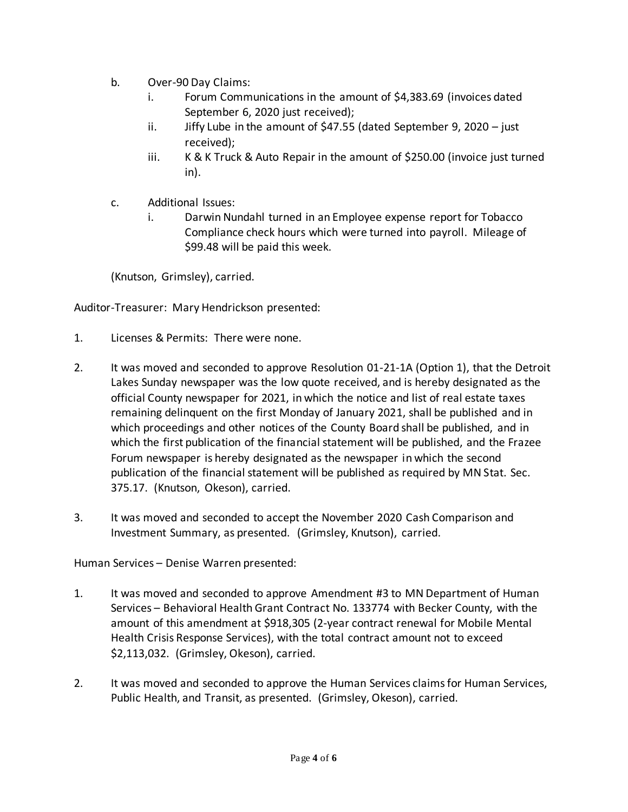- b. Over-90 Day Claims:
	- i. Forum Communications in the amount of \$4,383.69 (invoices dated September 6, 2020 just received);
	- ii. Jiffy Lube in the amount of \$47.55 (dated September 9, 2020 just received);
	- iii. K & K Truck & Auto Repair in the amount of \$250.00 (invoice just turned in).
- c. Additional Issues:
	- i. Darwin Nundahl turned in an Employee expense report for Tobacco Compliance check hours which were turned into payroll. Mileage of \$99.48 will be paid this week.

(Knutson, Grimsley), carried.

Auditor-Treasurer: Mary Hendrickson presented:

- 1. Licenses & Permits: There were none.
- 2. It was moved and seconded to approve Resolution 01-21-1A (Option 1), that the Detroit Lakes Sunday newspaper was the low quote received, and is hereby designated as the official County newspaper for 2021, in which the notice and list of real estate taxes remaining delinquent on the first Monday of January 2021, shall be published and in which proceedings and other notices of the County Board shall be published, and in which the first publication of the financial statement will be published, and the Frazee Forum newspaper is hereby designated as the newspaper in which the second publication of the financial statement will be published as required by MN Stat. Sec. 375.17. (Knutson, Okeson), carried.
- 3. It was moved and seconded to accept the November 2020 Cash Comparison and Investment Summary, as presented. (Grimsley, Knutson), carried.

Human Services – Denise Warren presented:

- 1. It was moved and seconded to approve Amendment #3 to MN Department of Human Services – Behavioral Health Grant Contract No. 133774 with Becker County, with the amount of this amendment at \$918,305 (2-year contract renewal for Mobile Mental Health Crisis Response Services), with the total contract amount not to exceed \$2,113,032. (Grimsley, Okeson), carried.
- 2. It was moved and seconded to approve the Human Services claims for Human Services, Public Health, and Transit, as presented. (Grimsley, Okeson), carried.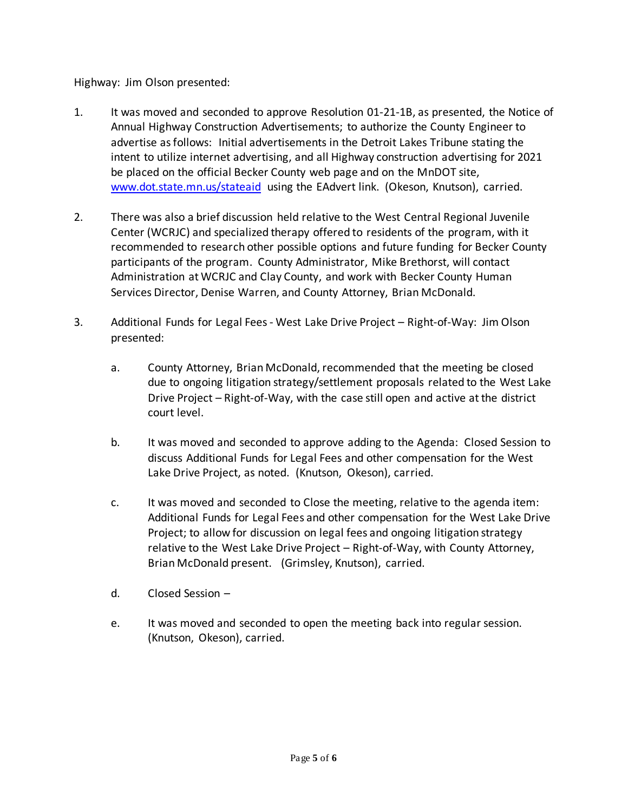Highway: Jim Olson presented:

- 1. It was moved and seconded to approve Resolution 01-21-1B, as presented, the Notice of Annual Highway Construction Advertisements; to authorize the County Engineer to advertise as follows: Initial advertisements in the Detroit Lakes Tribune stating the intent to utilize internet advertising, and all Highway construction advertising for 2021 be placed on the official Becker County web page and on the MnDOT site, [www.dot.state.mn.us/stateaid](http://www.dot.state.mn.us/stateaid) using the EAdvert link. (Okeson, Knutson), carried.
- 2. There was also a brief discussion held relative to the West Central Regional Juvenile Center (WCRJC) and specialized therapy offered to residents of the program, with it recommended to research other possible options and future funding for Becker County participants of the program. County Administrator, Mike Brethorst, will contact Administration at WCRJC and Clay County, and work with Becker County Human Services Director, Denise Warren, and County Attorney, Brian McDonald.
- 3. Additional Funds for Legal Fees West Lake Drive Project Right-of-Way: Jim Olson presented:
	- a. County Attorney, Brian McDonald, recommended that the meeting be closed due to ongoing litigation strategy/settlement proposals related to the West Lake Drive Project – Right-of-Way, with the case still open and active at the district court level.
	- b. It was moved and seconded to approve adding to the Agenda: Closed Session to discuss Additional Funds for Legal Fees and other compensation for the West Lake Drive Project, as noted. (Knutson, Okeson), carried.
	- c. It was moved and seconded to Close the meeting, relative to the agenda item: Additional Funds for Legal Fees and other compensation for the West Lake Drive Project; to allow for discussion on legal fees and ongoing litigation strategy relative to the West Lake Drive Project – Right-of-Way, with County Attorney, Brian McDonald present. (Grimsley, Knutson), carried.
	- d. Closed Session –
	- e. It was moved and seconded to open the meeting back into regular session. (Knutson, Okeson), carried.